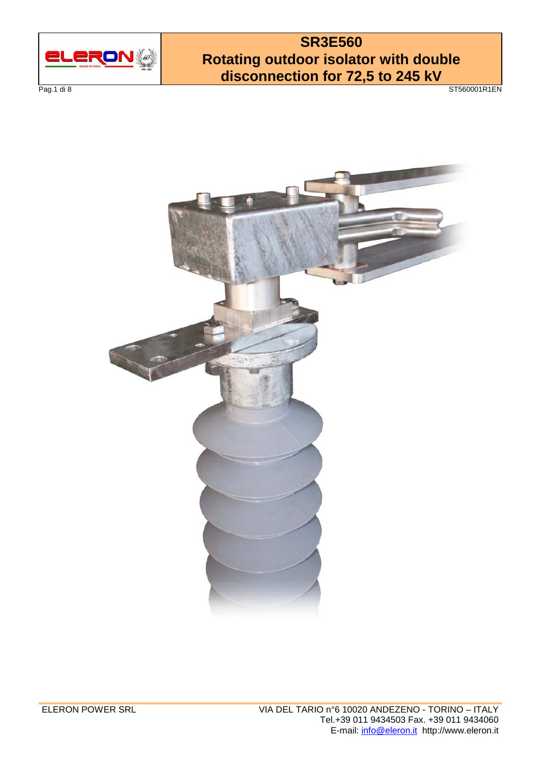

Pag.1 di 8 ST560001R1EN

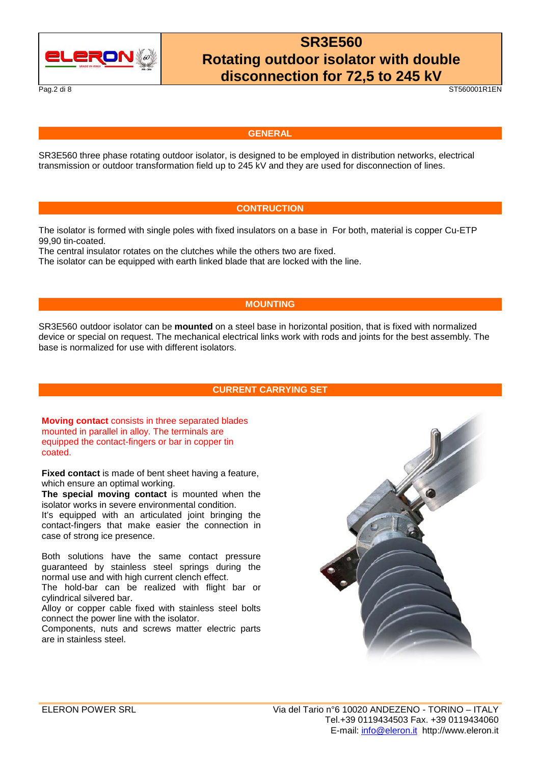

Pag.2 di 8 ST560001R1EN

#### **GENERAL**

SR3E560 three phase rotating outdoor isolator, is designed to be employed in distribution networks, electrical transmission or outdoor transformation field up to 245 kV and they are used for disconnection of lines.

### **CONTRUCTION**

The isolator is formed with single poles with fixed insulators on a base in For both, material is copper Cu-ETP 99,90 tin-coated.

The central insulator rotates on the clutches while the others two are fixed.

The isolator can be equipped with earth linked blade that are locked with the line.

### **MOUNTING**

SR3E560 outdoor isolator can be **mounted** on a steel base in horizontal position, that is fixed with normalized device or special on request. The mechanical electrical links work with rods and joints for the best assembly. The base is normalized for use with different isolators.

### **CURRENT CARRYING SET**

**Moving contact** consists in three separated blades mounted in parallel in alloy. The terminals are equipped the contact-fingers or bar in copper tin coated.

**Fixed contact** is made of bent sheet having a feature, which ensure an optimal working.

**The special moving contact** is mounted when the isolator works in severe environmental condition.

It's equipped with an articulated joint bringing the contact-fingers that make easier the connection in case of strong ice presence.

Both solutions have the same contact pressure guaranteed by stainless steel springs during the normal use and with high current clench effect.

The hold-bar can be realized with flight bar or cylindrical silvered bar.

Alloy or copper cable fixed with stainless steel bolts connect the power line with the isolator.

Components, nuts and screws matter electric parts are in stainless steel.

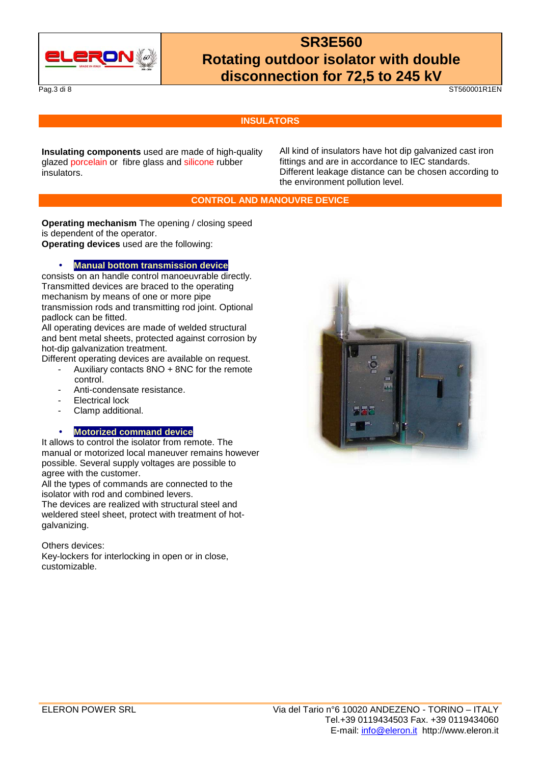

#### Pag.3 di 8 ST560001R1EN

### **INSULATORS**

**Insulating components** used are made of high-quality glazed porcelain or fibre glass and silicone rubber insulators.

All kind of insulators have hot dip galvanized cast iron fittings and are in accordance to IEC standards. Different leakage distance can be chosen according to the environment pollution level.

### **CONTROL AND MANOUVRE DEVICE**

**Operating mechanism** The opening / closing speed is dependent of the operator.

**Operating devices** used are the following:

### • **Manual bottom transmission device**

consists on an handle control manoeuvrable directly. Transmitted devices are braced to the operating mechanism by means of one or more pipe transmission rods and transmitting rod joint. Optional padlock can be fitted.

All operating devices are made of welded structural and bent metal sheets, protected against corrosion by hot-dip galvanization treatment.

Different operating devices are available on request.

- Auxiliary contacts 8NO + 8NC for the remote control.
- Anti-condensate resistance.
- Electrical lock
- Clamp additional.

### • **Motorized command device**

It allows to control the isolator from remote. The manual or motorized local maneuver remains however possible. Several supply voltages are possible to agree with the customer.

All the types of commands are connected to the isolator with rod and combined levers.

The devices are realized with structural steel and weldered steel sheet, protect with treatment of hotgalvanizing.

#### Others devices:

Key-lockers for interlocking in open or in close, customizable.

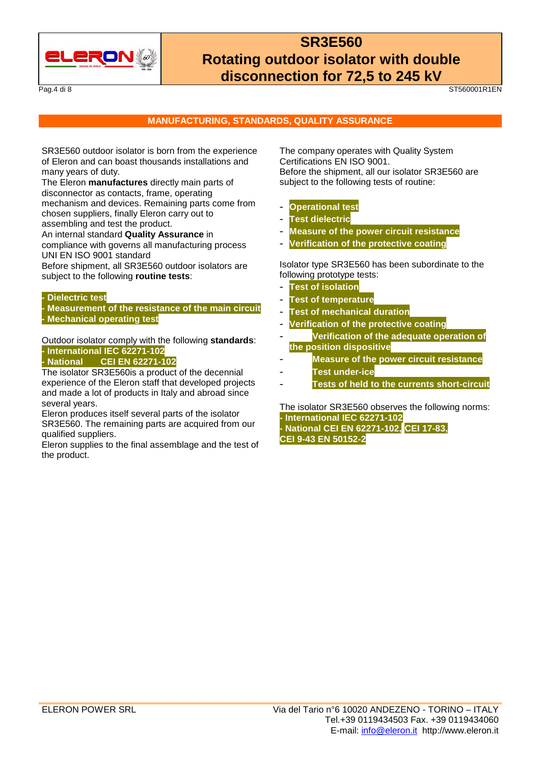

Pag.4 di 8 ST560001R1EN

### **MANUFACTURING, STANDARDS, QUALITY ASSURANCE**

SR3E560 outdoor isolator is born from the experience of Eleron and can boast thousands installations and many years of duty.

The Eleron **manufactures** directly main parts of disconnector as contacts, frame, operating mechanism and devices. Remaining parts come from chosen suppliers, finally Eleron carry out to assembling and test the product.

An internal standard **Quality Assurance** in compliance with governs all manufacturing process UNI EN ISO 9001 standard

Before shipment, all SR3E560 outdoor isolators are subject to the following **routine tests**:

#### **- Dielectric test**

**- Measurement of the resistance of the main circuit - Mechanical operating test**

Outdoor isolator comply with the following **standards**: **- International IEC 62271-102** 

### **- National CEI EN 62271-102**

The isolator SR3E560is a product of the decennial experience of the Eleron staff that developed projects and made a lot of products in Italy and abroad since several years.

Eleron produces itself several parts of the isolator SR3E560. The remaining parts are acquired from our qualified suppliers.

Eleron supplies to the final assemblage and the test of the product.

The company operates with Quality System Certifications EN ISO 9001. Before the shipment, all our isolator SR3E560 are subject to the following tests of routine:

### - **Operational test**

- **Test dielectric**
- **Measure of the power circuit resistance**
- **Verification of the protective coating**

Isolator type SR3E560 has been subordinate to the following prototype tests:

- **Test of isolation**
- **Test of temperature**
- **Test of mechanical duration**
- **Verification of the protective coating**
- **Verification of the adequate operation of the position dispositive**
- **Measure of the power circuit resistance**
- **Test under-ice**
- **Tests of held to the currents short-circuit**

The isolator SR3E560 observes the following norms: **- International IEC 62271-102 - National CEI EN 62271-102, CEI 17-83, CEI 9-43 EN 50152-2**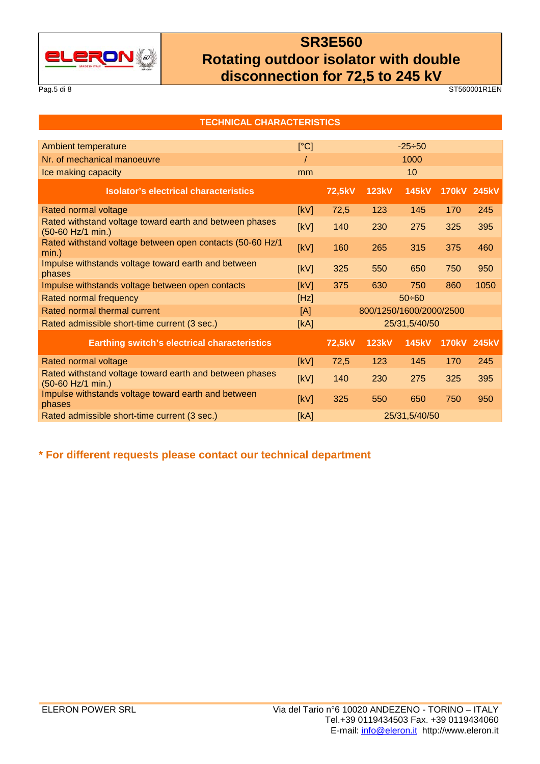

Pag.5 di 8 ST560001R1EN

| <b>TECHNICAL CHARACTERISTICS</b>                                             |      |               |                         |               |             |      |  |  |  |  |  |  |
|------------------------------------------------------------------------------|------|---------------|-------------------------|---------------|-------------|------|--|--|--|--|--|--|
|                                                                              |      |               |                         |               |             |      |  |  |  |  |  |  |
| <b>Ambient temperature</b>                                                   | [°C] |               |                         | $-25 \div 50$ |             |      |  |  |  |  |  |  |
| Nr. of mechanical manoeuvre                                                  |      |               | 1000                    |               |             |      |  |  |  |  |  |  |
| Ice making capacity                                                          | mm   |               | 10                      |               |             |      |  |  |  |  |  |  |
| <b>Isolator's electrical characteristics</b>                                 |      | 72,5kV        | <b>123kV</b>            | <b>145kV</b>  | 170kV 245kV |      |  |  |  |  |  |  |
| Rated normal voltage                                                         | [kV] | 72,5          | 123                     | 145           | 170         | 245  |  |  |  |  |  |  |
| Rated withstand voltage toward earth and between phases<br>(50-60 Hz/1 min.) | [kV] | 140           | 230                     | 275           | 325         | 395  |  |  |  |  |  |  |
| Rated withstand voltage between open contacts (50-60 Hz/1<br>min.)           | [kV] | 160           | 265                     | 315           | 375         | 460  |  |  |  |  |  |  |
| Impulse withstands voltage toward earth and between<br>phases                | [kV] | 325           | 550                     | 650           | 750         | 950  |  |  |  |  |  |  |
| Impulse withstands voltage between open contacts                             | [kV] | 375           | 630                     | 750           | 860         | 1050 |  |  |  |  |  |  |
| <b>Rated normal frequency</b>                                                | [Hz] | $50 \div 60$  |                         |               |             |      |  |  |  |  |  |  |
| Rated normal thermal current                                                 | [A]  |               | 800/1250/1600/2000/2500 |               |             |      |  |  |  |  |  |  |
| Rated admissible short-time current (3 sec.)                                 | [kA] |               | 25/31,5/40/50           |               |             |      |  |  |  |  |  |  |
| <b>Earthing switch's electrical characteristics</b>                          |      | 72,5kV        | <b>123kV</b>            | <b>145kV</b>  | 170kV 245kV |      |  |  |  |  |  |  |
| Rated normal voltage                                                         | [kV] | 72,5          | 123                     | 145           | 170         | 245  |  |  |  |  |  |  |
| Rated withstand voltage toward earth and between phases<br>(50-60 Hz/1 min.) | [kV] | 140           | 230                     | 275           | 325         | 395  |  |  |  |  |  |  |
| Impulse withstands voltage toward earth and between<br>phases                | [kV] | 325           | 550                     | 650           | 750         | 950  |  |  |  |  |  |  |
| Rated admissible short-time current (3 sec.)                                 | [kA] | 25/31,5/40/50 |                         |               |             |      |  |  |  |  |  |  |

**\* For different requests please contact our technical department**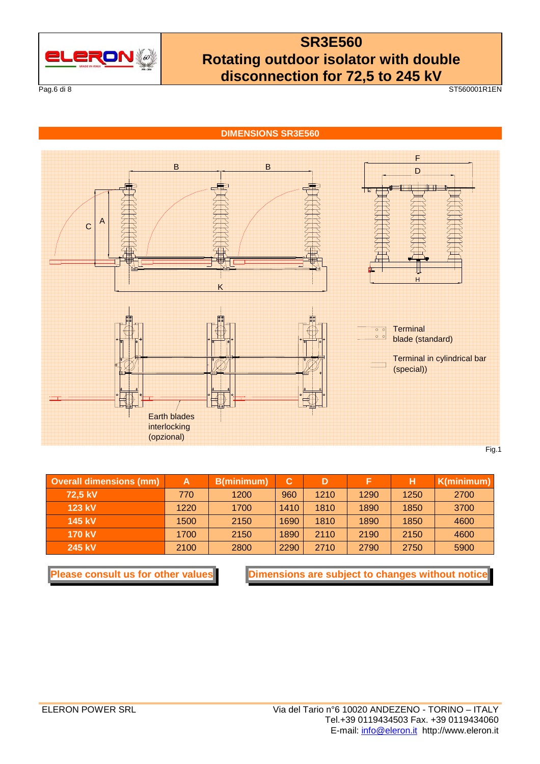

Pag.6 di 8 ST560001R1EN

**DIMENSIONS SR3E560** 



| <b>Overall dimensions (mm)</b> | A    | B(minimum) | С    |      |      |      | K(minimum) |  |
|--------------------------------|------|------------|------|------|------|------|------------|--|
| 72.5 kV                        | 770  | 1200       | 960  | 1210 | 1290 | 1250 | 2700       |  |
| $123$ kV                       | 1220 | 1700       | 1410 | 1810 | 1890 | 1850 | 3700       |  |
| 145 kV                         | 1500 | 2150       | 1690 | 1810 | 1890 | 1850 | 4600       |  |
| <b>170 kV</b>                  | 1700 | 2150       | 1890 | 2110 | 2190 | 2150 | 4600       |  |
| 245 kV                         | 2100 | 2800       | 2290 | 2710 | 2790 | 2750 | 5900       |  |

**Please consult us for other values** Dimensions are subject to changes without notice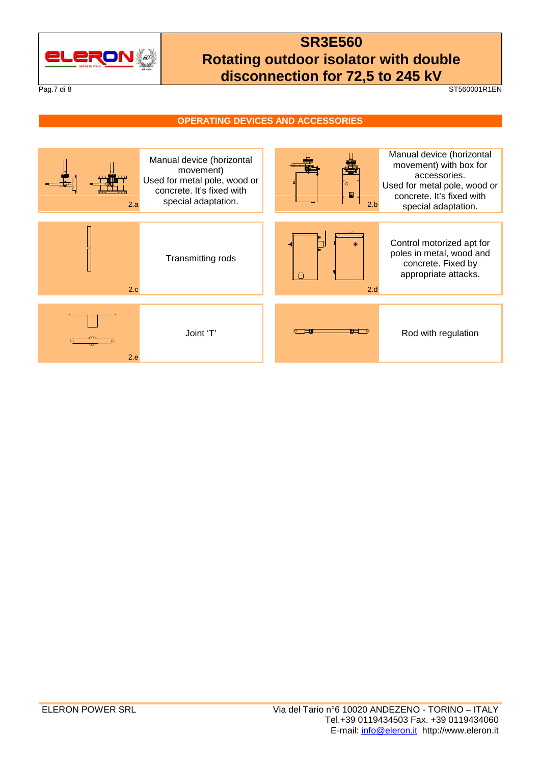

#### Pag.7 di 8 ST560001R1EN

### **OPERATING DEVICES AND ACCESSORIES**